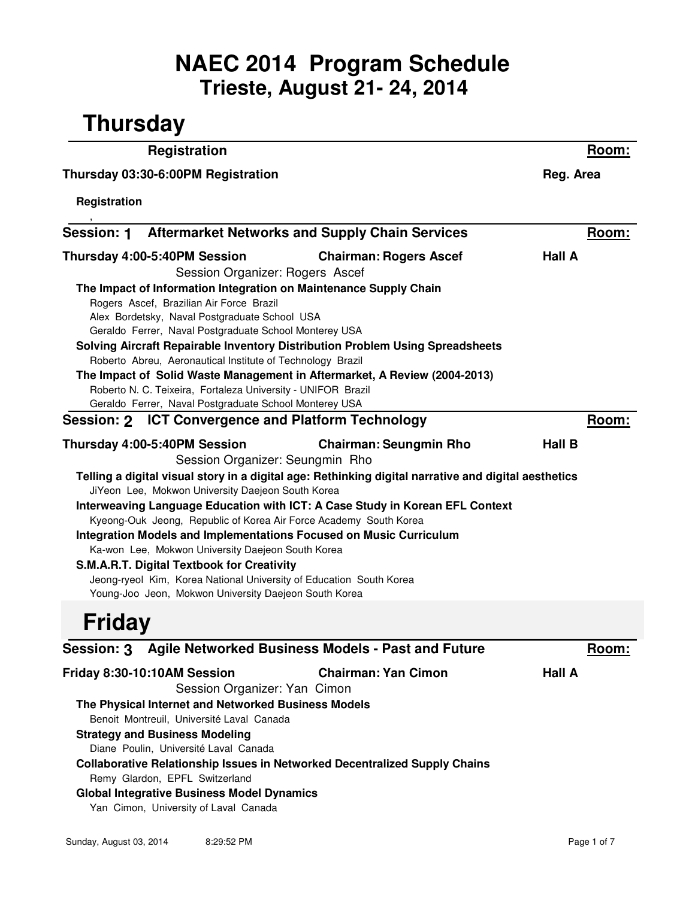## **Trieste, August 21- 24, 2014 NAEC 2014 Program Schedule**

| <b>Registration</b><br>Thursday 03:30-6:00PM Registration |                                                                                                                                                                                                                                                                                                                                                      | Room:                                                                                                                                                                                                                                                                                                                           |                 |
|-----------------------------------------------------------|------------------------------------------------------------------------------------------------------------------------------------------------------------------------------------------------------------------------------------------------------------------------------------------------------------------------------------------------------|---------------------------------------------------------------------------------------------------------------------------------------------------------------------------------------------------------------------------------------------------------------------------------------------------------------------------------|-----------------|
|                                                           |                                                                                                                                                                                                                                                                                                                                                      | Reg. Area                                                                                                                                                                                                                                                                                                                       |                 |
| Registration                                              |                                                                                                                                                                                                                                                                                                                                                      |                                                                                                                                                                                                                                                                                                                                 |                 |
|                                                           |                                                                                                                                                                                                                                                                                                                                                      | Session: 1 Aftermarket Networks and Supply Chain Services                                                                                                                                                                                                                                                                       | <u>Room:</u>    |
|                                                           | Thursday 4:00-5:40PM Session<br>Session Organizer: Rogers Ascef<br>Rogers Ascef, Brazilian Air Force Brazil<br>Alex Bordetsky, Naval Postgraduate School USA<br>Geraldo Ferrer, Naval Postgraduate School Monterey USA<br>Roberto Abreu, Aeronautical Institute of Technology Brazil<br>Roberto N. C. Teixeira, Fortaleza University - UNIFOR Brazil | <b>Chairman: Rogers Ascef</b><br>The Impact of Information Integration on Maintenance Supply Chain<br>Solving Aircraft Repairable Inventory Distribution Problem Using Spreadsheets<br>The Impact of Solid Waste Management in Aftermarket, A Review (2004-2013)                                                                | Hall A          |
|                                                           | Geraldo Ferrer, Naval Postgraduate School Monterey USA                                                                                                                                                                                                                                                                                               | Session: 2 ICT Convergence and Platform Technology                                                                                                                                                                                                                                                                              |                 |
|                                                           | Thursday 4:00-5:40PM Session                                                                                                                                                                                                                                                                                                                         | <b>Chairman: Seungmin Rho</b>                                                                                                                                                                                                                                                                                                   | Room:<br>Hall B |
|                                                           | JiYeon Lee, Mokwon University Daejeon South Korea<br>Ka-won Lee, Mokwon University Daejeon South Korea<br><b>S.M.A.R.T. Digital Textbook for Creativity</b><br>Jeong-ryeol Kim, Korea National University of Education South Korea<br>Young-Joo Jeon, Mokwon University Daejeon South Korea                                                          | Telling a digital visual story in a digital age: Rethinking digital narrative and digital aesthetics<br>Interweaving Language Education with ICT: A Case Study in Korean EFL Context<br>Kyeong-Ouk Jeong, Republic of Korea Air Force Academy South Korea<br>Integration Models and Implementations Focused on Music Curriculum |                 |
| <b>Friday</b>                                             |                                                                                                                                                                                                                                                                                                                                                      |                                                                                                                                                                                                                                                                                                                                 |                 |
|                                                           |                                                                                                                                                                                                                                                                                                                                                      | Session: 3 Agile Networked Business Models - Past and Future                                                                                                                                                                                                                                                                    | <u>Room:</u>    |
|                                                           | Friday 8:30-10:10AM Session<br>Session Organizer: Yan Cimon<br>The Physical Internet and Networked Business Models<br>Benoit Montreuil, Université Laval Canada<br><b>Strategy and Business Modeling</b><br>Diane Poulin, Université Laval Canada<br>Remy Glardon, EPFL Switzerland                                                                  | <b>Chairman: Yan Cimon</b><br><b>Collaborative Relationship Issues in Networked Decentralized Supply Chains</b>                                                                                                                                                                                                                 | <b>Hall A</b>   |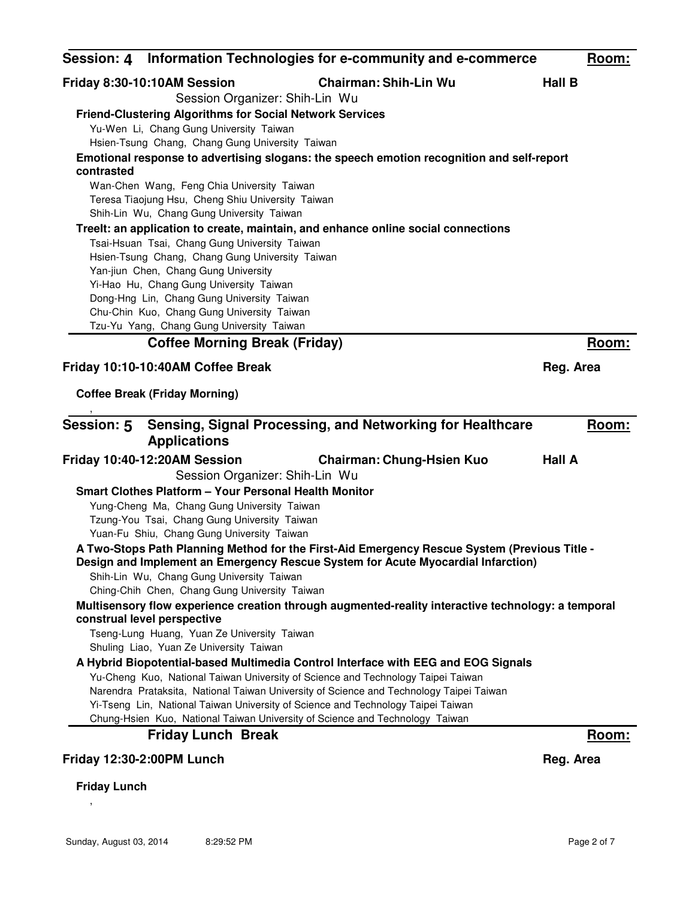| Session: 4 Information Technologies for e-community and e-commerce                                 | Room:         |
|----------------------------------------------------------------------------------------------------|---------------|
| <b>Chairman: Shih-Lin Wu</b><br>Friday 8:30-10:10AM Session                                        | <b>Hall B</b> |
| Session Organizer: Shih-Lin Wu                                                                     |               |
| <b>Friend-Clustering Algorithms for Social Network Services</b>                                    |               |
| Yu-Wen Li, Chang Gung University Taiwan                                                            |               |
| Hsien-Tsung Chang, Chang Gung University Taiwan                                                    |               |
| Emotional response to advertising slogans: the speech emotion recognition and self-report          |               |
| contrasted                                                                                         |               |
| Wan-Chen Wang, Feng Chia University Taiwan                                                         |               |
| Teresa Tiaojung Hsu, Cheng Shiu University Taiwan                                                  |               |
| Shih-Lin Wu, Chang Gung University Taiwan                                                          |               |
| Treelt: an application to create, maintain, and enhance online social connections                  |               |
| Tsai-Hsuan Tsai, Chang Gung University Taiwan                                                      |               |
| Hsien-Tsung Chang, Chang Gung University Taiwan                                                    |               |
| Yan-jiun Chen, Chang Gung University                                                               |               |
| Yi-Hao Hu, Chang Gung University Taiwan                                                            |               |
| Dong-Hng Lin, Chang Gung University Taiwan<br>Chu-Chin Kuo, Chang Gung University Taiwan           |               |
| Tzu-Yu Yang, Chang Gung University Taiwan                                                          |               |
| <b>Coffee Morning Break (Friday)</b>                                                               | Room:         |
|                                                                                                    |               |
| Friday 10:10-10:40AM Coffee Break                                                                  | Reg. Area     |
| <b>Coffee Break (Friday Morning)</b>                                                               |               |
|                                                                                                    |               |
| Sensing, Signal Processing, and Networking for Healthcare<br><b>Session: 5</b>                     | Room:         |
| <b>Applications</b>                                                                                |               |
|                                                                                                    |               |
| Friday 10:40-12:20AM Session<br><b>Chairman: Chung-Hsien Kuo</b>                                   | <b>Hall A</b> |
| Session Organizer: Shih-Lin Wu                                                                     |               |
| <b>Smart Clothes Platform - Your Personal Health Monitor</b>                                       |               |
| Yung-Cheng Ma, Chang Gung University Taiwan                                                        |               |
| Tzung-You Tsai, Chang Gung University Taiwan                                                       |               |
| Yuan-Fu Shiu, Chang Gung University Taiwan                                                         |               |
| A Two-Stops Path Planning Method for the First-Aid Emergency Rescue System (Previous Title -       |               |
| Design and Implement an Emergency Rescue System for Acute Myocardial Infarction)                   |               |
| Shih-Lin Wu, Chang Gung University Taiwan                                                          |               |
| Ching-Chih Chen, Chang Gung University Taiwan                                                      |               |
| Multisensory flow experience creation through augmented-reality interactive technology: a temporal |               |
| construal level perspective<br>Tseng-Lung Huang, Yuan Ze University Taiwan                         |               |
| Shuling Liao, Yuan Ze University Taiwan                                                            |               |
| A Hybrid Biopotential-based Multimedia Control Interface with EEG and EOG Signals                  |               |
| Yu-Cheng Kuo, National Taiwan University of Science and Technology Taipei Taiwan                   |               |
| Narendra Prataksita, National Taiwan University of Science and Technology Taipei Taiwan            |               |
| Yi-Tseng Lin, National Taiwan University of Science and Technology Taipei Taiwan                   |               |
| Chung-Hsien Kuo, National Taiwan University of Science and Technology Taiwan                       |               |
| <b>Friday Lunch Break</b>                                                                          | Room:         |
|                                                                                                    |               |
| Friday 12:30-2:00PM Lunch                                                                          | Reg. Area     |
| <b>Friday Lunch</b>                                                                                |               |

,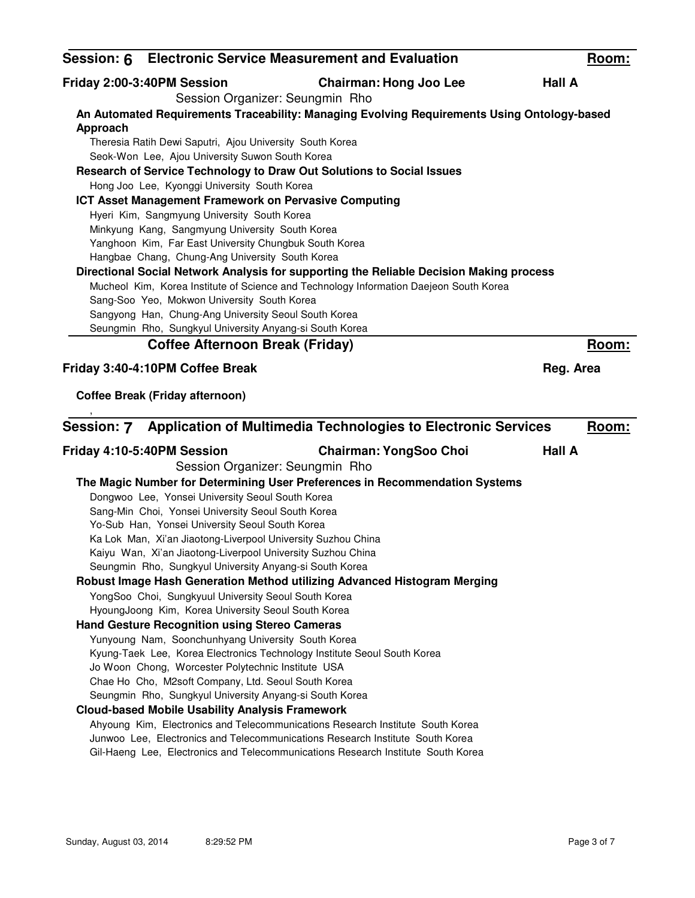|          |                                                              | Session: 6 Electronic Service Measurement and Evaluation                                    | <u>Room:</u>  |
|----------|--------------------------------------------------------------|---------------------------------------------------------------------------------------------|---------------|
|          | Friday 2:00-3:40PM Session                                   | <b>Chairman: Hong Joo Lee</b><br>Session Organizer: Seungmin Rho                            | <b>Hall A</b> |
|          |                                                              | An Automated Requirements Traceability: Managing Evolving Requirements Using Ontology-based |               |
| Approach |                                                              |                                                                                             |               |
|          | Theresia Ratih Dewi Saputri, Ajou University South Korea     |                                                                                             |               |
|          | Seok-Won Lee, Ajou University Suwon South Korea              |                                                                                             |               |
|          |                                                              | Research of Service Technology to Draw Out Solutions to Social Issues                       |               |
|          | Hong Joo Lee, Kyonggi University South Korea                 |                                                                                             |               |
|          | ICT Asset Management Framework on Pervasive Computing        |                                                                                             |               |
|          | Hyeri Kim, Sangmyung University South Korea                  |                                                                                             |               |
|          | Minkyung Kang, Sangmyung University South Korea              |                                                                                             |               |
|          | Yanghoon Kim, Far East University Chungbuk South Korea       |                                                                                             |               |
|          | Hangbae Chang, Chung-Ang University South Korea              |                                                                                             |               |
|          |                                                              | Directional Social Network Analysis for supporting the Reliable Decision Making process     |               |
|          |                                                              | Mucheol Kim, Korea Institute of Science and Technology Information Daejeon South Korea      |               |
|          | Sang-Soo Yeo, Mokwon University South Korea                  |                                                                                             |               |
|          | Sangyong Han, Chung-Ang University Seoul South Korea         |                                                                                             |               |
|          | Seungmin Rho, Sungkyul University Anyang-si South Korea      |                                                                                             |               |
|          | <b>Coffee Afternoon Break (Friday)</b>                       |                                                                                             | Room:         |
|          | Friday 3:40-4:10PM Coffee Break                              |                                                                                             | Reg. Area     |
|          |                                                              |                                                                                             |               |
|          | <b>Coffee Break (Friday afternoon)</b>                       |                                                                                             |               |
|          |                                                              |                                                                                             |               |
|          |                                                              |                                                                                             |               |
|          |                                                              | Session: 7 Application of Multimedia Technologies to Electronic Services                    | Room:         |
|          | Friday 4:10-5:40PM Session                                   | <b>Chairman: YongSoo Choi</b>                                                               | <b>Hall A</b> |
|          |                                                              | Session Organizer: Seungmin Rho                                                             |               |
|          |                                                              | The Magic Number for Determining User Preferences in Recommendation Systems                 |               |
|          | Dongwoo Lee, Yonsei University Seoul South Korea             |                                                                                             |               |
|          | Sang-Min Choi, Yonsei University Seoul South Korea           |                                                                                             |               |
|          | Yo-Sub Han, Yonsei University Seoul South Korea              |                                                                                             |               |
|          | Ka Lok Man, Xi'an Jiaotong-Liverpool University Suzhou China |                                                                                             |               |
|          | Kaiyu Wan, Xi'an Jiaotong-Liverpool University Suzhou China  |                                                                                             |               |
|          | Seungmin Rho, Sungkyul University Anyang-si South Korea      |                                                                                             |               |
|          |                                                              | Robust Image Hash Generation Method utilizing Advanced Histogram Merging                    |               |
|          | YongSoo Choi, Sungkyuul University Seoul South Korea         |                                                                                             |               |
|          | HyoungJoong Kim, Korea University Seoul South Korea          |                                                                                             |               |
|          | <b>Hand Gesture Recognition using Stereo Cameras</b>         |                                                                                             |               |
|          | Yunyoung Nam, Soonchunhyang University South Korea           |                                                                                             |               |
|          |                                                              | Kyung-Taek Lee, Korea Electronics Technology Institute Seoul South Korea                    |               |
|          | Jo Woon Chong, Worcester Polytechnic Institute USA           |                                                                                             |               |
|          | Chae Ho Cho, M2soft Company, Ltd. Seoul South Korea          |                                                                                             |               |
|          | Seungmin Rho, Sungkyul University Anyang-si South Korea      |                                                                                             |               |
|          | <b>Cloud-based Mobile Usability Analysis Framework</b>       |                                                                                             |               |
|          |                                                              | Ahyoung Kim, Electronics and Telecommunications Research Institute South Korea              |               |
|          |                                                              | Junwoo Lee, Electronics and Telecommunications Research Institute South Korea               |               |
|          |                                                              | Gil-Haeng Lee, Electronics and Telecommunications Research Institute South Korea            |               |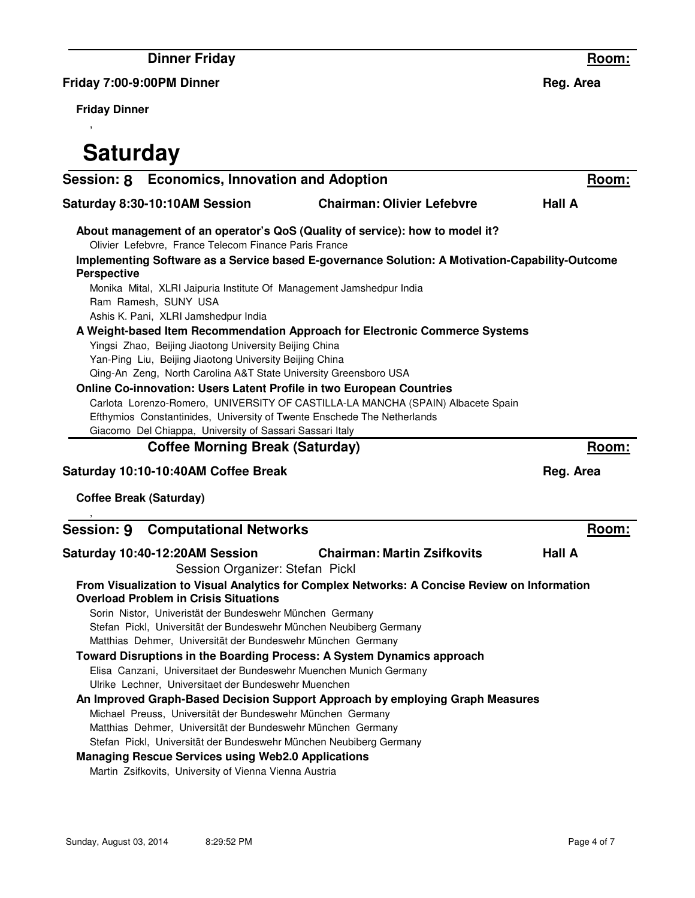**Dinner Friday**

**Friday 7:00-9:00PM Dinner**

**Friday Dinner**

,

## **Saturday**

| Session: 8 Economics, Innovation and Adoption |                                                                                                                                                                                               | Room:                                                                                                                                                                           |               |
|-----------------------------------------------|-----------------------------------------------------------------------------------------------------------------------------------------------------------------------------------------------|---------------------------------------------------------------------------------------------------------------------------------------------------------------------------------|---------------|
|                                               | Saturday 8:30-10:10AM Session                                                                                                                                                                 | <b>Chairman: Olivier Lefebvre</b>                                                                                                                                               | <b>Hall A</b> |
|                                               | Olivier Lefebvre, France Telecom Finance Paris France                                                                                                                                         | About management of an operator's QoS (Quality of service): how to model it?<br>Implementing Software as a Service based E-governance Solution: A Motivation-Capability-Outcome |               |
| <b>Perspective</b>                            |                                                                                                                                                                                               |                                                                                                                                                                                 |               |
|                                               | Monika Mital, XLRI Jaipuria Institute Of Management Jamshedpur India<br>Ram Ramesh, SUNY USA<br>Ashis K. Pani, XLRI Jamshedpur India                                                          |                                                                                                                                                                                 |               |
|                                               |                                                                                                                                                                                               | A Weight-based Item Recommendation Approach for Electronic Commerce Systems                                                                                                     |               |
|                                               | Yingsi Zhao, Beijing Jiaotong University Beijing China                                                                                                                                        |                                                                                                                                                                                 |               |
|                                               | Yan-Ping Liu, Beijing Jiaotong University Beijing China                                                                                                                                       |                                                                                                                                                                                 |               |
|                                               | Qing-An Zeng, North Carolina A&T State University Greensboro USA                                                                                                                              |                                                                                                                                                                                 |               |
|                                               |                                                                                                                                                                                               | Online Co-innovation: Users Latent Profile in two European Countries                                                                                                            |               |
|                                               |                                                                                                                                                                                               | Carlota Lorenzo-Romero, UNIVERSITY OF CASTILLA-LA MANCHA (SPAIN) Albacete Spain                                                                                                 |               |
|                                               | Giacomo Del Chiappa, University of Sassari Sassari Italy                                                                                                                                      | Efthymios Constantinides, University of Twente Enschede The Netherlands                                                                                                         |               |
|                                               | <b>Coffee Morning Break (Saturday)</b>                                                                                                                                                        |                                                                                                                                                                                 | Room:         |
|                                               |                                                                                                                                                                                               |                                                                                                                                                                                 |               |
|                                               | Saturday 10:10-10:40AM Coffee Break                                                                                                                                                           |                                                                                                                                                                                 | Reg. Area     |
|                                               | <b>Coffee Break (Saturday)</b>                                                                                                                                                                |                                                                                                                                                                                 |               |
|                                               | <b>Session: 9 Computational Networks</b>                                                                                                                                                      |                                                                                                                                                                                 | Room:         |
|                                               | Saturday 10:40-12:20AM Session<br>Session Organizer: Stefan Pickl                                                                                                                             | <b>Chairman: Martin Zsifkovits</b>                                                                                                                                              | <b>Hall A</b> |
|                                               | <b>Overload Problem in Crisis Situations</b>                                                                                                                                                  | From Visualization to Visual Analytics for Complex Networks: A Concise Review on Information                                                                                    |               |
|                                               | Sorin Nistor, Univeristät der Bundeswehr München Germany<br>Stefan Pickl, Universität der Bundeswehr München Neubiberg Germany<br>Matthias Dehmer, Universität der Bundeswehr München Germany |                                                                                                                                                                                 |               |
|                                               |                                                                                                                                                                                               | Toward Disruptions in the Boarding Process: A System Dynamics approach                                                                                                          |               |
|                                               |                                                                                                                                                                                               | Elisa Canzani, Universitaet der Bundeswehr Muenchen Munich Germany                                                                                                              |               |
|                                               | Ulrike Lechner, Universitaet der Bundeswehr Muenchen                                                                                                                                          |                                                                                                                                                                                 |               |
|                                               |                                                                                                                                                                                               | An Improved Graph-Based Decision Support Approach by employing Graph Measures                                                                                                   |               |
|                                               | Michael Preuss, Universität der Bundeswehr München Germany                                                                                                                                    |                                                                                                                                                                                 |               |
|                                               | Matthias Dehmer, Universität der Bundeswehr München Germany                                                                                                                                   |                                                                                                                                                                                 |               |
|                                               | Stefan Pickl, Universität der Bundeswehr München Neubiberg Germany                                                                                                                            |                                                                                                                                                                                 |               |
|                                               | <b>Managing Rescue Services using Web2.0 Applications</b>                                                                                                                                     |                                                                                                                                                                                 |               |
|                                               | Martin Zsifkovits, University of Vienna Vienna Austria                                                                                                                                        |                                                                                                                                                                                 |               |

**Reg. Area**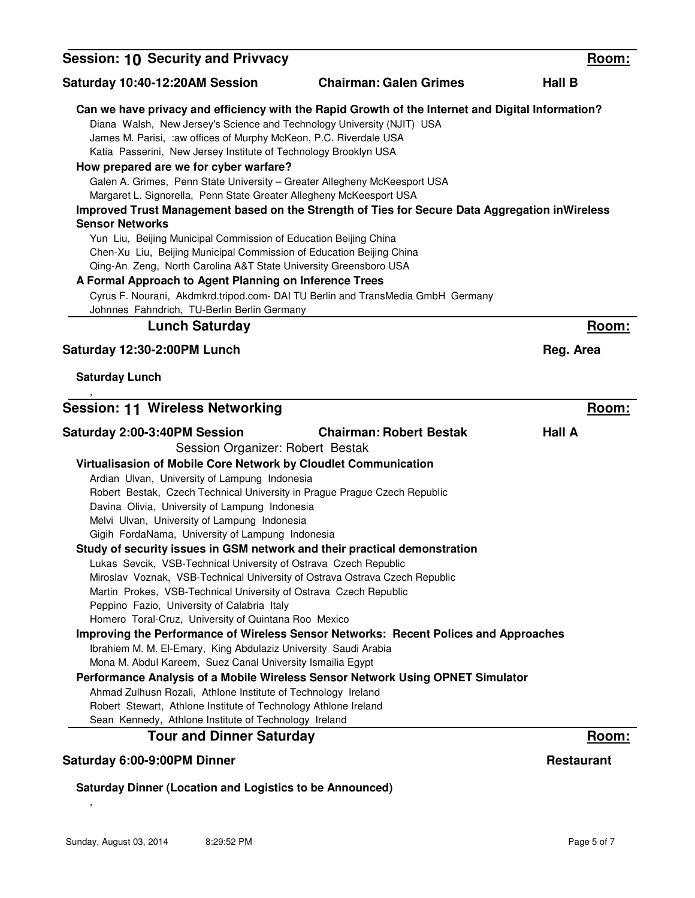| <b>Session: 10 Security and Privvacy</b>                                                                                                                                                                                                                                                                                                                                                                                                                                                                                                                                                                                                                                                                                                                                                                                                                                                                                                                                                                                                                                                                                                                          |                                                                                                                                                                                                          | Room:             |
|-------------------------------------------------------------------------------------------------------------------------------------------------------------------------------------------------------------------------------------------------------------------------------------------------------------------------------------------------------------------------------------------------------------------------------------------------------------------------------------------------------------------------------------------------------------------------------------------------------------------------------------------------------------------------------------------------------------------------------------------------------------------------------------------------------------------------------------------------------------------------------------------------------------------------------------------------------------------------------------------------------------------------------------------------------------------------------------------------------------------------------------------------------------------|----------------------------------------------------------------------------------------------------------------------------------------------------------------------------------------------------------|-------------------|
| Saturday 10:40-12:20AM Session                                                                                                                                                                                                                                                                                                                                                                                                                                                                                                                                                                                                                                                                                                                                                                                                                                                                                                                                                                                                                                                                                                                                    | <b>Chairman: Galen Grimes</b>                                                                                                                                                                            | <b>Hall B</b>     |
| Diana Walsh, New Jersey's Science and Technology University (NJIT) USA<br>James M. Parisi, : aw offices of Murphy McKeon, P.C. Riverdale USA<br>Katia Passerini, New Jersey Institute of Technology Brooklyn USA<br>How prepared are we for cyber warfare?<br>Galen A. Grimes, Penn State University - Greater Allegheny McKeesport USA<br>Margaret L. Signorella, Penn State Greater Allegheny McKeesport USA                                                                                                                                                                                                                                                                                                                                                                                                                                                                                                                                                                                                                                                                                                                                                    | Can we have privacy and efficiency with the Rapid Growth of the Internet and Digital Information?                                                                                                        |                   |
| <b>Sensor Networks</b><br>Yun Liu, Beijing Municipal Commission of Education Beijing China                                                                                                                                                                                                                                                                                                                                                                                                                                                                                                                                                                                                                                                                                                                                                                                                                                                                                                                                                                                                                                                                        | Improved Trust Management based on the Strength of Ties for Secure Data Aggregation inWireless                                                                                                           |                   |
| Chen-Xu Liu, Beijing Municipal Commission of Education Beijing China<br>Qing-An Zeng, North Carolina A&T State University Greensboro USA<br>A Formal Approach to Agent Planning on Inference Trees                                                                                                                                                                                                                                                                                                                                                                                                                                                                                                                                                                                                                                                                                                                                                                                                                                                                                                                                                                | Cyrus F. Nourani, Akdmkrd.tripod.com- DAI TU Berlin and TransMedia GmbH Germany                                                                                                                          |                   |
| Johnnes Fahndrich, TU-Berlin Berlin Germany<br><b>Lunch Saturday</b>                                                                                                                                                                                                                                                                                                                                                                                                                                                                                                                                                                                                                                                                                                                                                                                                                                                                                                                                                                                                                                                                                              |                                                                                                                                                                                                          | Room:             |
| Saturday 12:30-2:00PM Lunch                                                                                                                                                                                                                                                                                                                                                                                                                                                                                                                                                                                                                                                                                                                                                                                                                                                                                                                                                                                                                                                                                                                                       |                                                                                                                                                                                                          | Reg. Area         |
| <b>Saturday Lunch</b>                                                                                                                                                                                                                                                                                                                                                                                                                                                                                                                                                                                                                                                                                                                                                                                                                                                                                                                                                                                                                                                                                                                                             |                                                                                                                                                                                                          |                   |
| <b>Session: 11 Wireless Networking</b>                                                                                                                                                                                                                                                                                                                                                                                                                                                                                                                                                                                                                                                                                                                                                                                                                                                                                                                                                                                                                                                                                                                            |                                                                                                                                                                                                          | Room:             |
| Saturday 2:00-3:40PM Session<br>Session Organizer: Robert Bestak<br>Virtualisasion of Mobile Core Network by Cloudlet Communication<br>Ardian Ulvan, University of Lampung Indonesia<br>Robert Bestak, Czech Technical University in Prague Prague Czech Republic<br>Davina Olivia, University of Lampung Indonesia<br>Melvi Ulvan, University of Lampung Indonesia<br>Gigih FordaNama, University of Lampung Indonesia<br>Study of security issues in GSM network and their practical demonstration<br>Lukas Sevcik, VSB-Technical University of Ostrava Czech Republic<br>Miroslav Voznak, VSB-Technical University of Ostrava Ostrava Czech Republic<br>Martin Prokes, VSB-Technical University of Ostrava Czech Republic<br>Peppino Fazio, University of Calabria Italy<br>Homero Toral-Cruz, University of Quintana Roo Mexico<br>Ibrahiem M. M. El-Emary, King Abdulaziz University Saudi Arabia<br>Mona M. Abdul Kareem, Suez Canal University Ismailia Egypt<br>Ahmad Zulhusn Rozali, Athlone Institute of Technology Ireland<br>Robert Stewart, Athlone Institute of Technology Athlone Ireland<br>Sean Kennedy, Athlone Institute of Technology Ireland | <b>Chairman: Robert Bestak</b><br>Improving the Performance of Wireless Sensor Networks: Recent Polices and Approaches<br>Performance Analysis of a Mobile Wireless Sensor Network Using OPNET Simulator | <b>Hall A</b>     |
| <b>Tour and Dinner Saturday</b>                                                                                                                                                                                                                                                                                                                                                                                                                                                                                                                                                                                                                                                                                                                                                                                                                                                                                                                                                                                                                                                                                                                                   |                                                                                                                                                                                                          | Room:             |
| Saturday 6:00-9:00PM Dinner                                                                                                                                                                                                                                                                                                                                                                                                                                                                                                                                                                                                                                                                                                                                                                                                                                                                                                                                                                                                                                                                                                                                       |                                                                                                                                                                                                          | <b>Restaurant</b> |
| <b>Saturday Dinner (Location and Logistics to be Announced)</b>                                                                                                                                                                                                                                                                                                                                                                                                                                                                                                                                                                                                                                                                                                                                                                                                                                                                                                                                                                                                                                                                                                   |                                                                                                                                                                                                          |                   |

,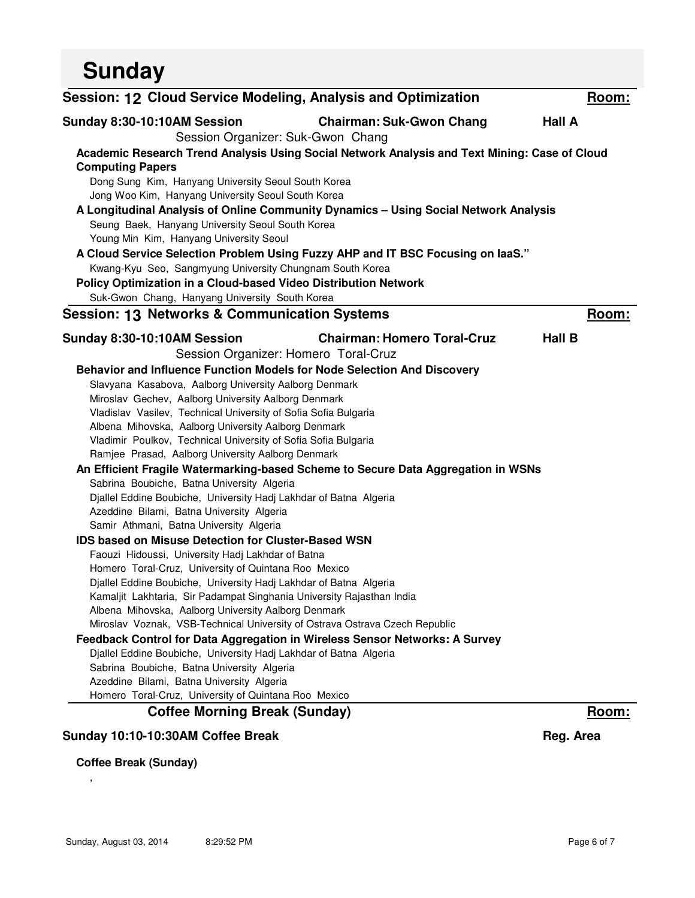| <b>Sunday</b>                                                               |                                                                                               |               |
|-----------------------------------------------------------------------------|-----------------------------------------------------------------------------------------------|---------------|
| Session: 12 Cloud Service Modeling, Analysis and Optimization               |                                                                                               | Room:         |
| Sunday 8:30-10:10AM Session                                                 | <b>Chairman: Suk-Gwon Chang</b>                                                               | <b>Hall A</b> |
|                                                                             | Session Organizer: Suk-Gwon Chang                                                             |               |
|                                                                             | Academic Research Trend Analysis Using Social Network Analysis and Text Mining: Case of Cloud |               |
| <b>Computing Papers</b>                                                     |                                                                                               |               |
| Dong Sung Kim, Hanyang University Seoul South Korea                         |                                                                                               |               |
| Jong Woo Kim, Hanyang University Seoul South Korea                          |                                                                                               |               |
|                                                                             | A Longitudinal Analysis of Online Community Dynamics - Using Social Network Analysis          |               |
| Seung Baek, Hanyang University Seoul South Korea                            |                                                                                               |               |
| Young Min Kim, Hanyang University Seoul                                     |                                                                                               |               |
|                                                                             | A Cloud Service Selection Problem Using Fuzzy AHP and IT BSC Focusing on laaS."               |               |
| Kwang-Kyu Seo, Sangmyung University Chungnam South Korea                    |                                                                                               |               |
| Policy Optimization in a Cloud-based Video Distribution Network             |                                                                                               |               |
| Suk-Gwon Chang, Hanyang University South Korea                              |                                                                                               |               |
| <b>Session: 13 Networks &amp; Communication Systems</b>                     |                                                                                               | Room:         |
| Sunday 8:30-10:10AM Session                                                 | <b>Chairman: Homero Toral-Cruz</b>                                                            | <b>Hall B</b> |
|                                                                             | Session Organizer: Homero Toral-Cruz                                                          |               |
|                                                                             | Behavior and Influence Function Models for Node Selection And Discovery                       |               |
| Slavyana Kasabova, Aalborg University Aalborg Denmark                       |                                                                                               |               |
| Miroslav Gechev, Aalborg University Aalborg Denmark                         |                                                                                               |               |
| Vladislav Vasilev, Technical University of Sofia Sofia Bulgaria             |                                                                                               |               |
| Albena Mihovska, Aalborg University Aalborg Denmark                         |                                                                                               |               |
| Vladimir Poulkov, Technical University of Sofia Sofia Bulgaria              |                                                                                               |               |
| Ramjee Prasad, Aalborg University Aalborg Denmark                           |                                                                                               |               |
|                                                                             | An Efficient Fragile Watermarking-based Scheme to Secure Data Aggregation in WSNs             |               |
| Sabrina Boubiche, Batna University Algeria                                  |                                                                                               |               |
| Djallel Eddine Boubiche, University Hadj Lakhdar of Batna Algeria           |                                                                                               |               |
| Azeddine Bilami, Batna University Algeria                                   |                                                                                               |               |
| Samir Athmani, Batna University Algeria                                     |                                                                                               |               |
| <b>IDS based on Misuse Detection for Cluster-Based WSN</b>                  |                                                                                               |               |
| Faouzi Hidoussi, University Hadj Lakhdar of Batna                           |                                                                                               |               |
| Homero Toral-Cruz, University of Quintana Roo Mexico                        |                                                                                               |               |
| Djallel Eddine Boubiche, University Hadj Lakhdar of Batna Algeria           |                                                                                               |               |
| Kamaljit Lakhtaria, Sir Padampat Singhania University Rajasthan India       |                                                                                               |               |
| Albena Mihovska, Aalborg University Aalborg Denmark                         |                                                                                               |               |
| Miroslav Voznak, VSB-Technical University of Ostrava Ostrava Czech Republic |                                                                                               |               |
|                                                                             | Feedback Control for Data Aggregation in Wireless Sensor Networks: A Survey                   |               |
| Djallel Eddine Boubiche, University Hadj Lakhdar of Batna Algeria           |                                                                                               |               |
| Sabrina Boubiche, Batna University Algeria                                  |                                                                                               |               |
| Azeddine Bilami, Batna University Algeria                                   |                                                                                               |               |
| Homero Toral-Cruz, University of Quintana Roo Mexico                        |                                                                                               |               |
| <b>Coffee Morning Break (Sunday)</b>                                        |                                                                                               | Room:         |
| Sunday 10:10-10:30AM Coffee Break                                           |                                                                                               | Reg. Area     |
|                                                                             |                                                                                               |               |

**Coffee Break (Sunday)**

,